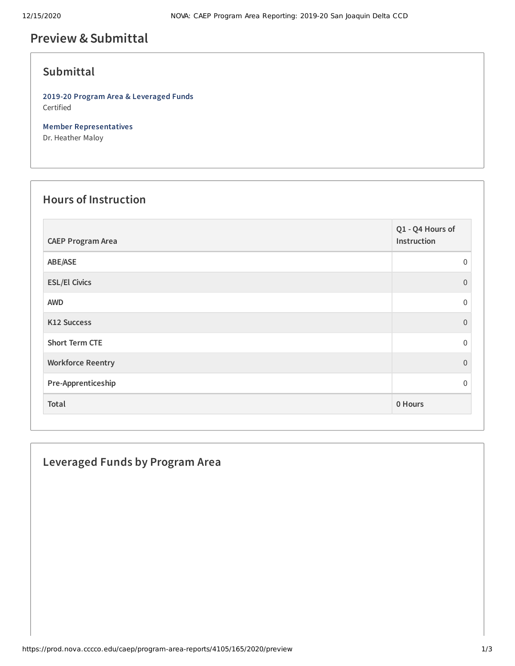# **Preview &Submittal**

### **Submittal**

**2019-20 Program Area & Leveraged Funds** Certified

**Member Representatives** Dr. Heather Maloy

#### **Hours of Instruction**

| <b>CAEP Program Area</b> | Q1 - Q4 Hours of<br>Instruction |
|--------------------------|---------------------------------|
| ABE/ASE                  | $\Omega$                        |
| <b>ESL/El Civics</b>     | $\Omega$                        |
| <b>AWD</b>               | $\Omega$                        |
| K12 Success              | $\Omega$                        |
| <b>Short Term CTE</b>    | $\Omega$                        |
| <b>Workforce Reentry</b> | $\Omega$                        |
| Pre-Apprenticeship       | $\Omega$                        |
| Total                    | 0 Hours                         |

### **Leveraged Funds by Program Area**